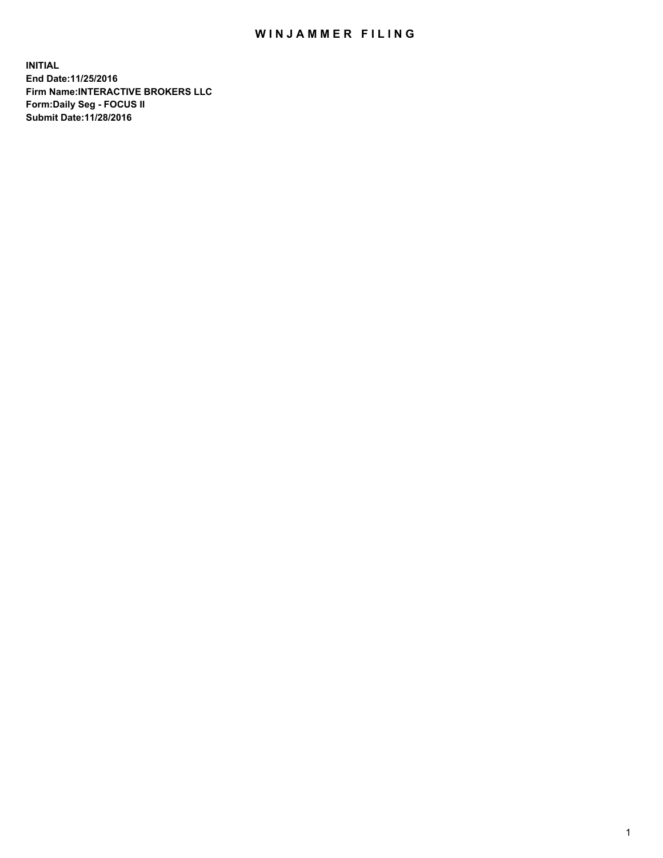## WIN JAMMER FILING

**INITIAL End Date:11/25/2016 Firm Name:INTERACTIVE BROKERS LLC Form:Daily Seg - FOCUS II Submit Date:11/28/2016**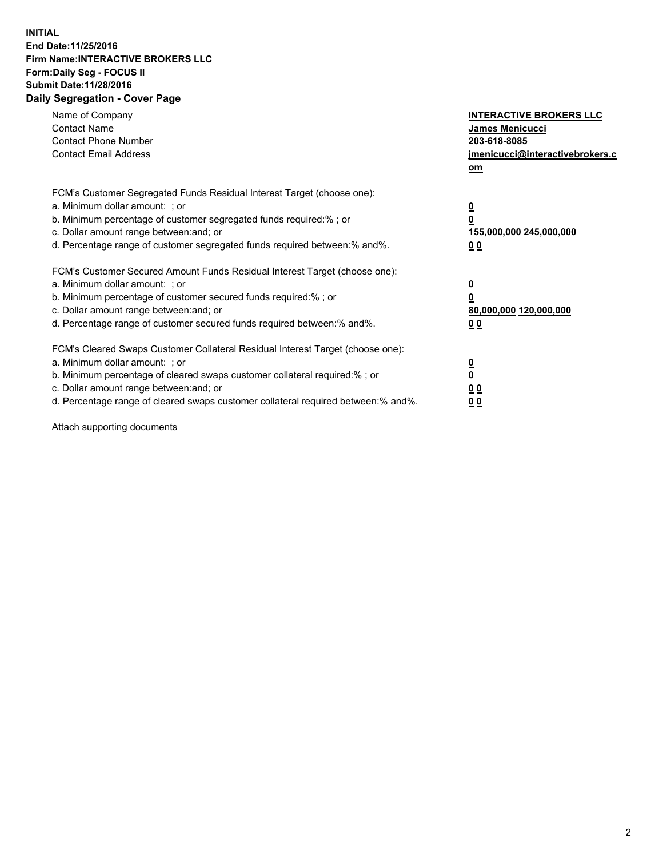## **INITIAL End Date:11/25/2016 Firm Name:INTERACTIVE BROKERS LLC Form:Daily Seg - FOCUS II Submit Date:11/28/2016 Daily Segregation - Cover Page**

| Name of Company<br><b>Contact Name</b><br><b>Contact Phone Number</b><br><b>Contact Email Address</b>                                                                                                                                                                                                                          | <b>INTERACTIVE BROKERS LLC</b><br>James Menicucci<br>203-618-8085<br><u>jmenicucci@interactivebrokers.c</u><br>om |
|--------------------------------------------------------------------------------------------------------------------------------------------------------------------------------------------------------------------------------------------------------------------------------------------------------------------------------|-------------------------------------------------------------------------------------------------------------------|
| FCM's Customer Segregated Funds Residual Interest Target (choose one):<br>a. Minimum dollar amount: ; or<br>b. Minimum percentage of customer segregated funds required:%; or<br>c. Dollar amount range between: and; or<br>d. Percentage range of customer segregated funds required between:% and%.                          | $\overline{\mathbf{0}}$<br>0<br>155,000,000 245,000,000<br>0 <sub>0</sub>                                         |
| FCM's Customer Secured Amount Funds Residual Interest Target (choose one):<br>a. Minimum dollar amount: ; or<br>b. Minimum percentage of customer secured funds required:%; or<br>c. Dollar amount range between: and; or<br>d. Percentage range of customer secured funds required between:% and%.                            | $\overline{\mathbf{0}}$<br>$\overline{\mathbf{0}}$<br>80,000,000 120,000,000<br>00                                |
| FCM's Cleared Swaps Customer Collateral Residual Interest Target (choose one):<br>a. Minimum dollar amount: ; or<br>b. Minimum percentage of cleared swaps customer collateral required:% ; or<br>c. Dollar amount range between: and; or<br>d. Percentage range of cleared swaps customer collateral required between:% and%. | $\overline{\mathbf{0}}$<br>$\overline{\mathbf{0}}$<br>0 <sub>0</sub><br><u>00</u>                                 |

Attach supporting documents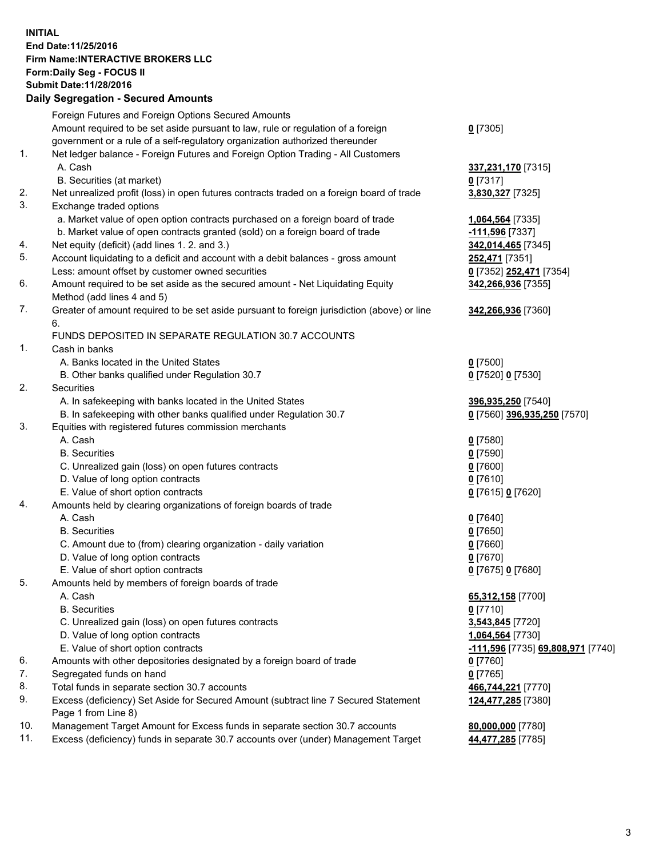## **INITIAL End Date:11/25/2016 Firm Name:INTERACTIVE BROKERS LLC Form:Daily Seg - FOCUS II Submit Date:11/28/2016 Daily Segregation - Secured Amounts**

|     | Daily Jegiegation - Jeculed Aniounts                                                        |                                                 |
|-----|---------------------------------------------------------------------------------------------|-------------------------------------------------|
|     | Foreign Futures and Foreign Options Secured Amounts                                         |                                                 |
|     | Amount required to be set aside pursuant to law, rule or regulation of a foreign            | $0$ [7305]                                      |
|     | government or a rule of a self-regulatory organization authorized thereunder                |                                                 |
| 1.  | Net ledger balance - Foreign Futures and Foreign Option Trading - All Customers             |                                                 |
|     | A. Cash                                                                                     | 337,231,170 [7315]                              |
|     | B. Securities (at market)                                                                   | $0$ [7317]                                      |
| 2.  | Net unrealized profit (loss) in open futures contracts traded on a foreign board of trade   | 3,830,327 [7325]                                |
| 3.  | Exchange traded options                                                                     |                                                 |
|     | a. Market value of open option contracts purchased on a foreign board of trade              | 1,064,564 [7335]                                |
|     | b. Market value of open contracts granted (sold) on a foreign board of trade                | -111,596 [7337]                                 |
| 4.  | Net equity (deficit) (add lines 1.2. and 3.)                                                | 342,014,465 [7345]                              |
| 5.  | Account liquidating to a deficit and account with a debit balances - gross amount           | 252,471 [7351]                                  |
|     | Less: amount offset by customer owned securities                                            | 0 [7352] 252,471 [7354]                         |
| 6.  | Amount required to be set aside as the secured amount - Net Liquidating Equity              | 342,266,936 [7355]                              |
|     | Method (add lines 4 and 5)                                                                  |                                                 |
| 7.  | Greater of amount required to be set aside pursuant to foreign jurisdiction (above) or line | 342,266,936 [7360]                              |
|     | 6.                                                                                          |                                                 |
|     | FUNDS DEPOSITED IN SEPARATE REGULATION 30.7 ACCOUNTS                                        |                                                 |
| 1.  | Cash in banks                                                                               |                                                 |
|     | A. Banks located in the United States                                                       | $0$ [7500]                                      |
|     | B. Other banks qualified under Regulation 30.7                                              | 0 [7520] 0 [7530]                               |
| 2.  | Securities                                                                                  |                                                 |
|     | A. In safekeeping with banks located in the United States                                   | 396,935,250 [7540]                              |
|     | B. In safekeeping with other banks qualified under Regulation 30.7                          | 0 [7560] 396,935,250 [7570]                     |
| 3.  | Equities with registered futures commission merchants                                       |                                                 |
|     | A. Cash                                                                                     | $0$ [7580]                                      |
|     | <b>B.</b> Securities                                                                        | $0$ [7590]                                      |
|     | C. Unrealized gain (loss) on open futures contracts                                         | $0$ [7600]                                      |
|     | D. Value of long option contracts                                                           | $0$ [7610]                                      |
|     | E. Value of short option contracts                                                          | 0 [7615] 0 [7620]                               |
| 4.  | Amounts held by clearing organizations of foreign boards of trade                           |                                                 |
|     | A. Cash                                                                                     | $0$ [7640]                                      |
|     | <b>B.</b> Securities                                                                        | $0$ [7650]                                      |
|     | C. Amount due to (from) clearing organization - daily variation                             | $0$ [7660]                                      |
|     | D. Value of long option contracts                                                           | $0$ [7670]                                      |
|     | E. Value of short option contracts                                                          | 0 [7675] 0 [7680]                               |
| 5.  | Amounts held by members of foreign boards of trade                                          |                                                 |
|     | A. Cash                                                                                     | 65,312,158 [7700]                               |
|     | <b>B.</b> Securities                                                                        | $0$ [7710]                                      |
|     | C. Unrealized gain (loss) on open futures contracts                                         | 3,543,845 [7720]                                |
|     | D. Value of long option contracts                                                           | 1,064,564 [7730]                                |
|     | E. Value of short option contracts                                                          | <u>-111,596</u> [7735] <b>69,808,971</b> [7740] |
| 6.  | Amounts with other depositories designated by a foreign board of trade                      | 0 [7760]                                        |
| 7.  | Segregated funds on hand                                                                    | $0$ [7765]                                      |
| 8.  | Total funds in separate section 30.7 accounts                                               | 466,744,221 [7770]                              |
| 9.  | Excess (deficiency) Set Aside for Secured Amount (subtract line 7 Secured Statement         | 124,477,285 [7380]                              |
|     | Page 1 from Line 8)                                                                         |                                                 |
| 10. | Management Target Amount for Excess funds in separate section 30.7 accounts                 | 80,000,000 [7780]                               |
| 11. | Excess (deficiency) funds in separate 30.7 accounts over (under) Management Target          | 44,477,285 [7785]                               |
|     |                                                                                             |                                                 |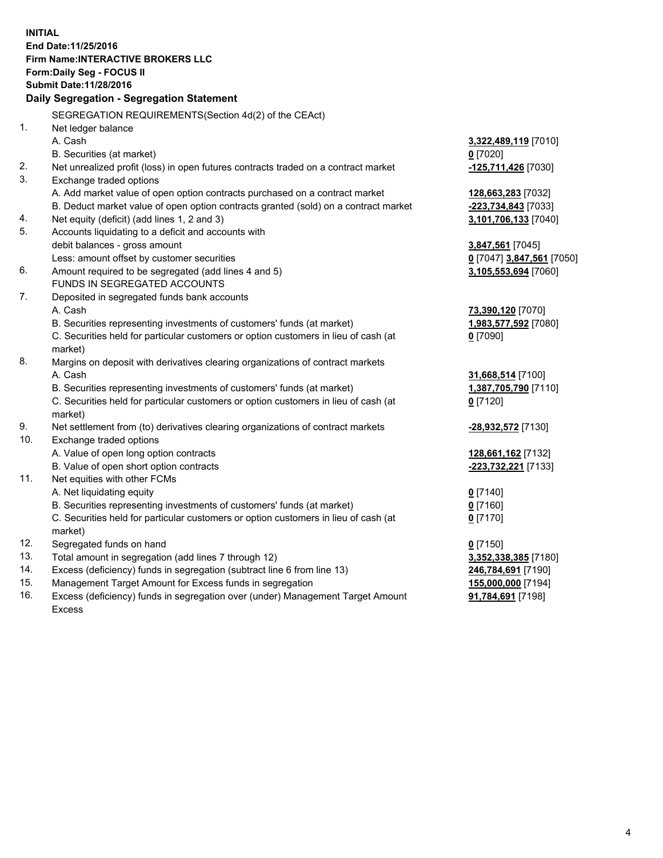**INITIAL End Date:11/25/2016 Firm Name:INTERACTIVE BROKERS LLC Form:Daily Seg - FOCUS II Submit Date:11/28/2016 Daily Segregation - Segregation Statement** SEGREGATION REQUIREMENTS(Section 4d(2) of the CEAct) 1. Net ledger balance A. Cash **3,322,489,119** [7010] B. Securities (at market) **0** [7020] 2. Net unrealized profit (loss) in open futures contracts traded on a contract market **-125,711,426** [7030] 3. Exchange traded options A. Add market value of open option contracts purchased on a contract market **128,663,283** [7032] B. Deduct market value of open option contracts granted (sold) on a contract market **-223,734,843** [7033] 4. Net equity (deficit) (add lines 1, 2 and 3) **3,101,706,133** [7040] 5. Accounts liquidating to a deficit and accounts with debit balances - gross amount **3,847,561** [7045] Less: amount offset by customer securities **0** [7047] **3,847,561** [7050] 6. Amount required to be segregated (add lines 4 and 5) **3,105,553,694** [7060] FUNDS IN SEGREGATED ACCOUNTS 7. Deposited in segregated funds bank accounts A. Cash **73,390,120** [7070] B. Securities representing investments of customers' funds (at market) **1,983,577,592** [7080] C. Securities held for particular customers or option customers in lieu of cash (at market) **0** [7090] 8. Margins on deposit with derivatives clearing organizations of contract markets A. Cash **31,668,514** [7100] B. Securities representing investments of customers' funds (at market) **1,387,705,790** [7110] C. Securities held for particular customers or option customers in lieu of cash (at market) **0** [7120] 9. Net settlement from (to) derivatives clearing organizations of contract markets **-28,932,572** [7130] 10. Exchange traded options A. Value of open long option contracts **128,661,162** [7132] B. Value of open short option contracts **-223,732,221** [7133] 11. Net equities with other FCMs A. Net liquidating equity **0** [7140] B. Securities representing investments of customers' funds (at market) **0** [7160] C. Securities held for particular customers or option customers in lieu of cash (at market) **0** [7170] 12. Segregated funds on hand **0** [7150] 13. Total amount in segregation (add lines 7 through 12) **3,352,338,385** [7180] 14. Excess (deficiency) funds in segregation (subtract line 6 from line 13) **246,784,691** [7190] 15. Management Target Amount for Excess funds in segregation **155,000,000** [7194] **91,784,691** [7198]

16. Excess (deficiency) funds in segregation over (under) Management Target Amount Excess